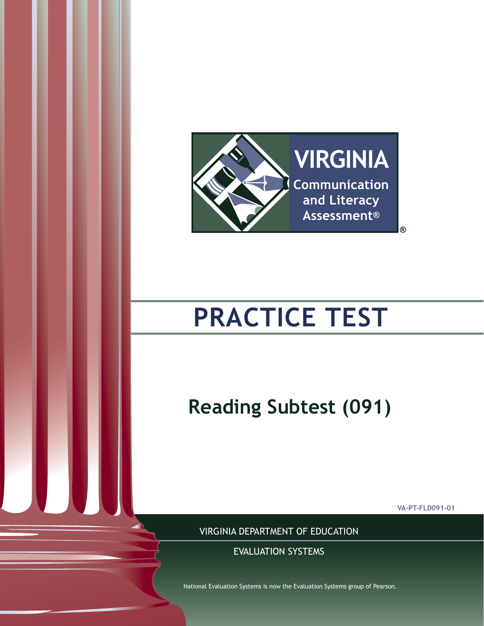

# **PRACTICE TEST**

**Reading Subtest (091)**

**VA-PT-FLD091-01**

VIRGINIA DEPARTMENT OF EDUCATION

National Evaluation Systems is now the Evaluation Systems group of Pearson.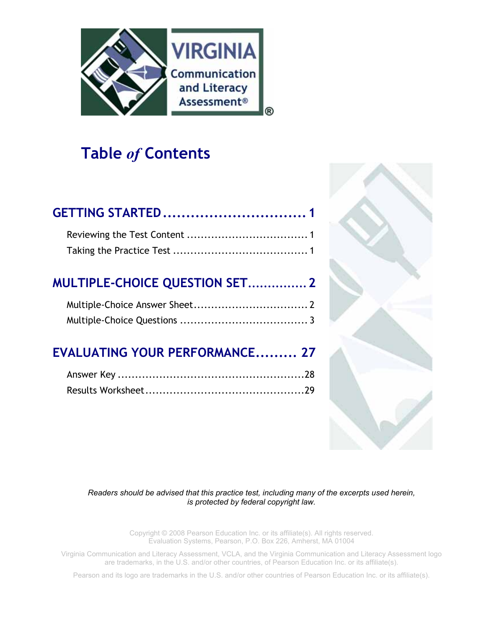

# **Table** *of* **Contents**

| <b>MULTIPLE-CHOICE QUESTION SET 2</b> |  |
|---------------------------------------|--|
|                                       |  |
| <b>EVALUATING YOUR PERFORMANCE 27</b> |  |
|                                       |  |

Results Worksheet..............................................29



*Readers should be advised that this practice test, including many of the excerpts used herein, is protected by federal copyright law.*

> Copyright © 2008 Pearson Education Inc. or its affiliate(s). All rights reserved. Evaluation Systems, Pearson, P.O. Box 226, Amherst, MA 01004

Virginia Communication and Literacy Assessment, VCLA, and the Virginia Communication and Literacy Assessment logo are trademarks, in the U.S. and/or other countries, of Pearson Education Inc. or its affiliate(s).

Pearson and its logo are trademarks in the U.S. and/or other countries of Pearson Education Inc. or its affiliate(s).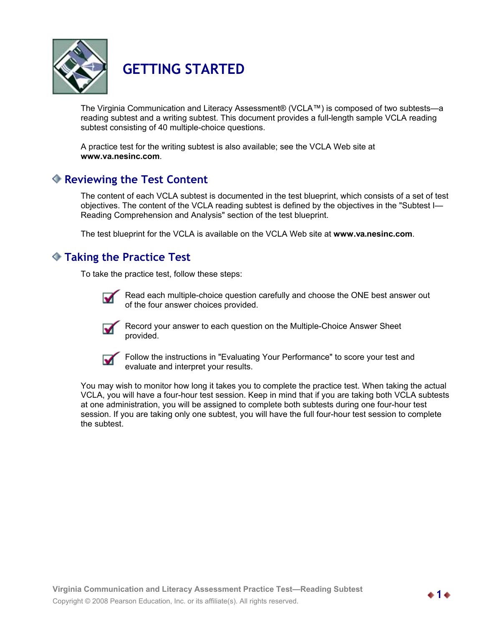

# **GETTING STARTED**

The Virginia Communication and Literacy Assessment® (VCLA™) is composed of two subtests—a reading subtest and a writing subtest. This document provides a full-length sample VCLA reading subtest consisting of 40 multiple-choice questions.

A practice test for the writing subtest is also available; see the VCLA Web site at **www.va.nesinc.com**.

## **Reviewing the Test Content**

The content of each VCLA subtest is documented in the test blueprint, which consists of a set of test objectives. The content of the VCLA reading subtest is defined by the objectives in the "Subtest I— Reading Comprehension and Analysis" section of the test blueprint.

The test blueprint for the VCLA is available on the VCLA Web site at **www.va.nesinc.com**.

# **Taking the Practice Test**

To take the practice test, follow these steps:



Read each multiple-choice question carefully and choose the ONE best answer out of the four answer choices provided.



Record your answer to each question on the Multiple-Choice Answer Sheet provided.



Follow the instructions in "Evaluating Your Performance" to score your test and evaluate and interpret your results.

You may wish to monitor how long it takes you to complete the practice test. When taking the actual VCLA, you will have a four-hour test session. Keep in mind that if you are taking both VCLA subtests at one administration, you will be assigned to complete both subtests during one four-hour test session. If you are taking only one subtest, you will have the full four-hour test session to complete the subtest.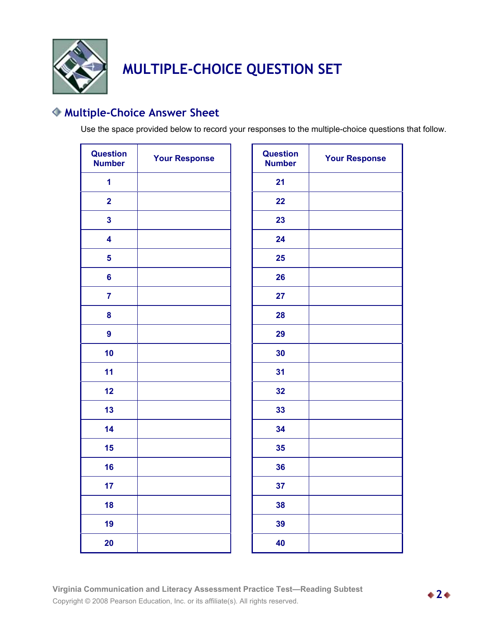

# **MULTIPLE-CHOICE QUESTION SET**

# **Multiple-Choice Answer Sheet**

Use the space provided below to record your responses to the multiple-choice questions that follow.

| <b>Question</b><br><b>Number</b> | <b>Your Response</b> | <b>Question</b><br><b>Number</b> |
|----------------------------------|----------------------|----------------------------------|
| 1                                |                      | 21                               |
| $\overline{2}$                   |                      | 22                               |
| $\overline{\mathbf{3}}$          |                      | 23                               |
| 4                                |                      | 24                               |
| 5                                |                      | 25                               |
| $6\phantom{a}$                   |                      | 26                               |
| $\overline{7}$                   |                      | 27                               |
| 8                                |                      | 28                               |
| 9                                |                      | 29                               |
| 10                               |                      | 30                               |
| 11                               |                      | 31                               |
| 12                               |                      | 32                               |
| 13                               |                      | 33                               |
| 14                               |                      | 34                               |
| 15                               |                      | 35                               |
| 16                               |                      | 36                               |
| 17                               |                      | 37                               |
| 18                               |                      | 38                               |
| 19                               |                      | 39                               |
| 20                               |                      | 40                               |

| <b>Question</b><br><b>Number</b> | <b>Your Response</b> |
|----------------------------------|----------------------|
| 21                               |                      |
| 22                               |                      |
| 23                               |                      |
| 24                               |                      |
| 25                               |                      |
| 26                               |                      |
| 27                               |                      |
| 28                               |                      |
| 29                               |                      |
| 30                               |                      |
| 31                               |                      |
| 32                               |                      |
| 33                               |                      |
| 34                               |                      |
| 35                               |                      |
| 36                               |                      |
| 37                               |                      |
| 38                               |                      |
| 39                               |                      |
| 40                               |                      |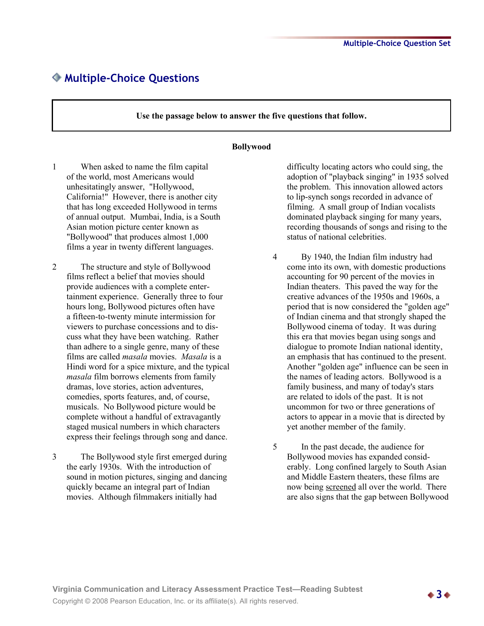### **Multiple-Choice Questions**

**Use the passage below to answer the five questions that follow.**

#### **Bollywood**

- 1 When asked to name the film capital of the world, most Americans would unhesitatingly answer, "Hollywood, California!" However, there is another city that has long exceeded Hollywood in terms of annual output. Mumbai, India, is a South Asian motion picture center known as "Bollywood" that produces almost 1,000 films a year in twenty different languages.
- 2 The structure and style of Bollywood films reflect a belief that movies should provide audiences with a complete entertainment experience. Generally three to four hours long, Bollywood pictures often have a fifteen-to-twenty minute intermission for viewers to purchase concessions and to discuss what they have been watching. Rather than adhere to a single genre, many of these films are called *masala* movies. *Masala* is a Hindi word for a spice mixture, and the typical *masala* film borrows elements from family dramas, love stories, action adventures, comedies, sports features, and, of course, musicals. No Bollywood picture would be complete without a handful of extravagantly staged musical numbers in which characters express their feelings through song and dance.
- 3 The Bollywood style first emerged during the early 1930s. With the introduction of sound in motion pictures, singing and dancing quickly became an integral part of Indian movies. Although filmmakers initially had

difficulty locating actors who could sing, the adoption of "playback singing" in 1935 solved the problem. This innovation allowed actors to lip-synch songs recorded in advance of filming. A small group of Indian vocalists dominated playback singing for many years, recording thousands of songs and rising to the status of national celebrities.

- 4 By 1940, the Indian film industry had come into its own, with domestic productions accounting for 90 percent of the movies in Indian theaters. This paved the way for the creative advances of the 1950s and 1960s, a period that is now considered the "golden age" of Indian cinema and that strongly shaped the Bollywood cinema of today. It was during this era that movies began using songs and dialogue to promote Indian national identity, an emphasis that has continued to the present. Another "golden age" influence can be seen in the names of leading actors. Bollywood is a family business, and many of today's stars are related to idols of the past. It is not uncommon for two or three generations of actors to appear in a movie that is directed by yet another member of the family.
- 5 In the past decade, the audience for Bollywood movies has expanded considerably. Long confined largely to South Asian and Middle Eastern theaters, these films are now being screened all over the world. There are also signs that the gap between Bollywood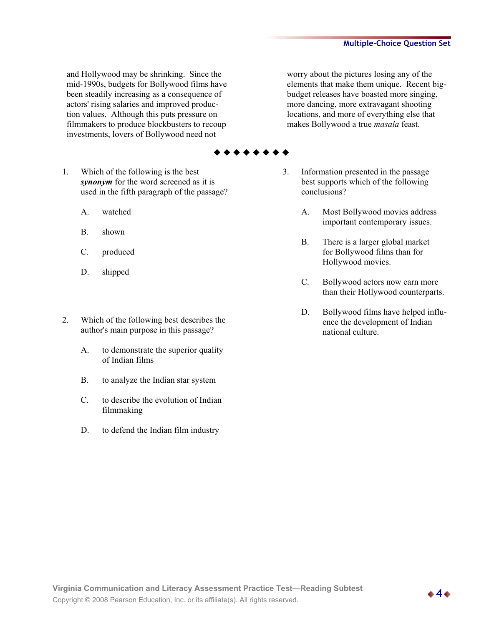and Hollywood may be shrinking. Since the mid-1990s, budgets for Bollywood films have been steadily increasing as a consequence of actors' rising salaries and improved production values. Although this puts pressure on filmmakers to produce blockbusters to recoup investments, lovers of Bollywood need not

worry about the pictures losing any of the elements that make them unique. Recent bigbudget releases have boasted more singing, more dancing, more extravagant shooting locations, and more of everything else that makes Bollywood a true *masala* feast.

- 1. Which of the following is the best *synonym* for the word <u>screened</u> as it is used in the fifth paragraph of the passage?
	- A. watched
	- B. shown
	- C. produced
	- D. shipped
- 2. Which of the following best describes the author's main purpose in this passage?
	- A. to demonstrate the superior quality of Indian films
	- B. to analyze the Indian star system
	- C. to describe the evolution of Indian filmmaking
	- D. to defend the Indian film industry
- 3. Information presented in the passage best supports which of the following conclusions?
	- A. Most Bollywood movies address important contemporary issues.
	- B. There is a larger global market for Bollywood films than for Hollywood movies.
	- C. Bollywood actors now earn more than their Hollywood counterparts.
	- D. Bollywood films have helped influence the development of Indian national culture.

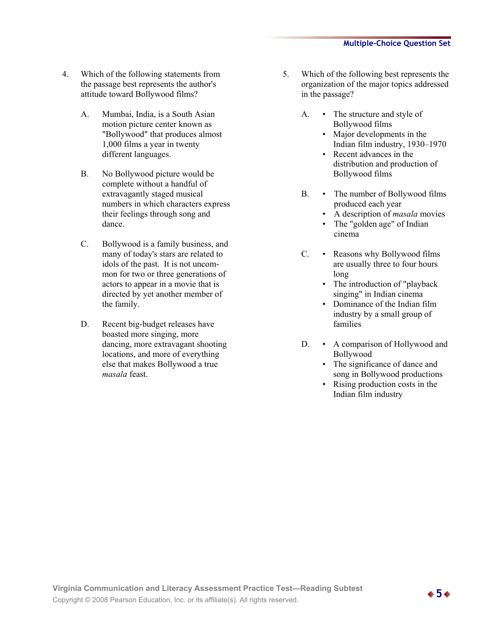- 4. Which of the following statements from the passage best represents the author's attitude toward Bollywood films?
	- A. Mumbai, India, is a South Asian motion picture center known as "Bollywood" that produces almost 1,000 films a year in twenty different languages.
	- B. No Bollywood picture would be complete without a handful of extravagantly staged musical numbers in which characters express their feelings through song and dance.
	- C. Bollywood is a family business, and many of today's stars are related to idols of the past. It is not uncommon for two or three generations of actors to appear in a movie that is directed by yet another member of the family.
	- D. Recent big-budget releases have boasted more singing, more dancing, more extravagant shooting locations, and more of everything else that makes Bollywood a true *masala* feast.
- 5. Which of the following best represents the organization of the major topics addressed in the passage?
	- A. The structure and style of Bollywood films
		- Major developments in the Indian film industry, 1930–1970
		- Recent advances in the distribution and production of Bollywood films
	- B. The number of Bollywood films produced each year
		- A description of *masala* movies
		- The "golden age" of Indian cinema
	- C. Reasons why Bollywood films are usually three to four hours long
		- The introduction of "playback singing" in Indian cinema
		- Dominance of the Indian film industry by a small group of families
	- D. A comparison of Hollywood and Bollywood
		- The significance of dance and song in Bollywood productions
		- Rising production costs in the Indian film industry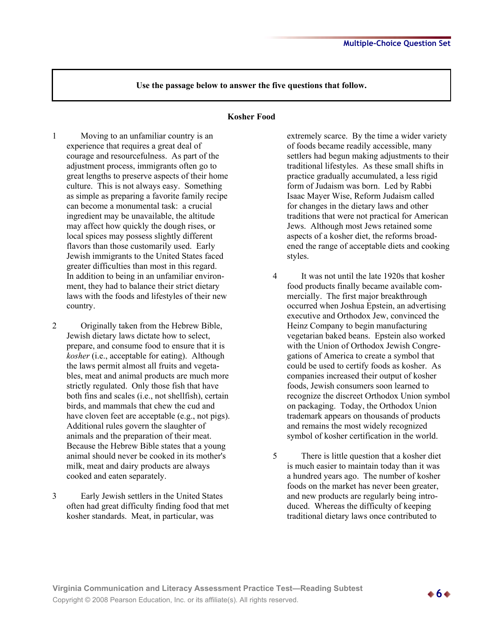#### **Kosher Food**

- 1 Moving to an unfamiliar country is an experience that requires a great deal of courage and resourcefulness. As part of the adjustment process, immigrants often go to great lengths to preserve aspects of their home culture. This is not always easy. Something as simple as preparing a favorite family recipe can become a monumental task: a crucial ingredient may be unavailable, the altitude may affect how quickly the dough rises, or local spices may possess slightly different flavors than those customarily used. Early Jewish immigrants to the United States faced greater difficulties than most in this regard. In addition to being in an unfamiliar environment, they had to balance their strict dietary laws with the foods and lifestyles of their new country.
- 2 Originally taken from the Hebrew Bible, Jewish dietary laws dictate how to select, prepare, and consume food to ensure that it is *kosher* (i.e., acceptable for eating). Although the laws permit almost all fruits and vegetables, meat and animal products are much more strictly regulated. Only those fish that have both fins and scales (i.e., not shellfish), certain birds, and mammals that chew the cud and have cloven feet are acceptable (e.g., not pigs). Additional rules govern the slaughter of animals and the preparation of their meat. Because the Hebrew Bible states that a young animal should never be cooked in its mother's milk, meat and dairy products are always cooked and eaten separately.
- 3 Early Jewish settlers in the United States often had great difficulty finding food that met kosher standards. Meat, in particular, was

extremely scarce. By the time a wider variety of foods became readily accessible, many settlers had begun making adjustments to their traditional lifestyles. As these small shifts in practice gradually accumulated, a less rigid form of Judaism was born. Led by Rabbi Isaac Mayer Wise, Reform Judaism called for changes in the dietary laws and other traditions that were not practical for American Jews. Although most Jews retained some aspects of a kosher diet, the reforms broadened the range of acceptable diets and cooking styles.

- 4 It was not until the late 1920s that kosher food products finally became available commercially. The first major breakthrough occurred when Joshua Epstein, an advertising executive and Orthodox Jew, convinced the Heinz Company to begin manufacturing vegetarian baked beans. Epstein also worked with the Union of Orthodox Jewish Congregations of America to create a symbol that could be used to certify foods as kosher. As companies increased their output of kosher foods, Jewish consumers soon learned to recognize the discreet Orthodox Union symbol on packaging. Today, the Orthodox Union trademark appears on thousands of products and remains the most widely recognized symbol of kosher certification in the world.
- 5 There is little question that a kosher diet is much easier to maintain today than it was a hundred years ago. The number of kosher foods on the market has never been greater, and new products are regularly being introduced. Whereas the difficulty of keeping traditional dietary laws once contributed to

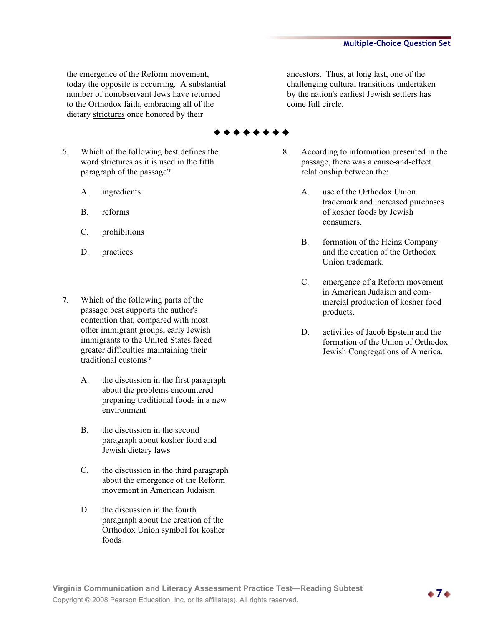the emergence of the Reform movement, today the opposite is occurring. A substantial number of nonobservant Jews have returned to the Orthodox faith, embracing all of the dietary strictures once honored by their

- 6. Which of the following best defines the word strictures as it is used in the fifth paragraph of the passage?
	- A. ingredients
	- B. reforms
	- C. prohibitions
	- D. practices
- 7. Which of the following parts of the passage best supports the author's contention that, compared with most other immigrant groups, early Jewish immigrants to the United States faced greater difficulties maintaining their traditional customs?
	- A. the discussion in the first paragraph about the problems encountered preparing traditional foods in a new environment
	- B. the discussion in the second paragraph about kosher food and Jewish dietary laws
	- C. the discussion in the third paragraph about the emergence of the Reform movement in American Judaism
	- D. the discussion in the fourth paragraph about the creation of the Orthodox Union symbol for kosher foods

ancestors. Thus, at long last, one of the challenging cultural transitions undertaken by the nation's earliest Jewish settlers has come full circle.

- 8. According to information presented in the passage, there was a cause-and-effect relationship between the:
	- A. use of the Orthodox Union trademark and increased purchases of kosher foods by Jewish consumers.
	- B. formation of the Heinz Company and the creation of the Orthodox Union trademark.
	- C. emergence of a Reform movement in American Judaism and commercial production of kosher food products.
	- D. activities of Jacob Epstein and the formation of the Union of Orthodox Jewish Congregations of America.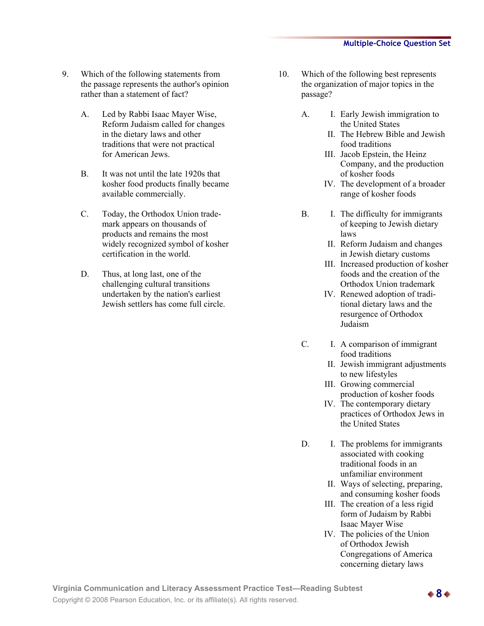- 9. Which of the following statements from the passage represents the author's opinion rather than a statement of fact?
	- A. Led by Rabbi Isaac Mayer Wise, Reform Judaism called for changes in the dietary laws and other traditions that were not practical for American Jews.
	- B. It was not until the late 1920s that kosher food products finally became available commercially.
	- C. Today, the Orthodox Union trademark appears on thousands of products and remains the most widely recognized symbol of kosher certification in the world.
	- D. Thus, at long last, one of the challenging cultural transitions undertaken by the nation's earliest Jewish settlers has come full circle.
- 10. Which of the following best represents the organization of major topics in the passage?
	- A. I. Early Jewish immigration to the United States
		- II. The Hebrew Bible and Jewish food traditions
		- III. Jacob Epstein, the Heinz Company, and the production of kosher foods
		- IV. The development of a broader range of kosher foods
	- B. I. The difficulty for immigrants of keeping to Jewish dietary laws
		- II. Reform Judaism and changes in Jewish dietary customs
		- III. Increased production of kosher foods and the creation of the Orthodox Union trademark
		- IV. Renewed adoption of traditional dietary laws and the resurgence of Orthodox Judaism
	- C. I. A comparison of immigrant food traditions
		- II. Jewish immigrant adjustments to new lifestyles
		- III. Growing commercial production of kosher foods
		- IV. The contemporary dietary practices of Orthodox Jews in the United States
	- D. I. The problems for immigrants associated with cooking traditional foods in an unfamiliar environment
		- II. Ways of selecting, preparing, and consuming kosher foods
		- III. The creation of a less rigid form of Judaism by Rabbi Isaac Mayer Wise
		- IV. The policies of the Union of Orthodox Jewish Congregations of America concerning dietary laws

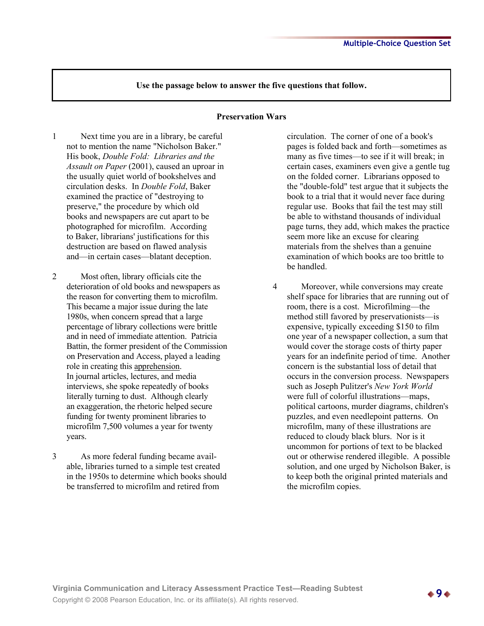#### **Preservation Wars**

- 1 Next time you are in a library, be careful not to mention the name "Nicholson Baker." His book, *Double Fold: Libraries and the Assault on Paper* (2001), caused an uproar in the usually quiet world of bookshelves and circulation desks. In *Double Fold*, Baker examined the practice of "destroying to preserve," the procedure by which old books and newspapers are cut apart to be photographed for microfilm. According to Baker, librarians' justifications for this destruction are based on flawed analysis and—in certain cases—blatant deception.
- 2 Most often, library officials cite the deterioration of old books and newspapers as the reason for converting them to microfilm. This became a major issue during the late 1980s, when concern spread that a large percentage of library collections were brittle and in need of immediate attention. Patricia Battin, the former president of the Commission on Preservation and Access, played a leading role in creating this apprehension. In journal articles, lectures, and media interviews, she spoke repeatedly of books literally turning to dust. Although clearly an exaggeration, the rhetoric helped secure funding for twenty prominent libraries to microfilm 7,500 volumes a year for twenty years.
- 3 As more federal funding became available, libraries turned to a simple test created in the 1950s to determine which books should be transferred to microfilm and retired from

circulation. The corner of one of a book's pages is folded back and forth—sometimes as many as five times—to see if it will break; in certain cases, examiners even give a gentle tug on the folded corner. Librarians opposed to the "double-fold" test argue that it subjects the book to a trial that it would never face during regular use. Books that fail the test may still be able to withstand thousands of individual page turns, they add, which makes the practice seem more like an excuse for clearing materials from the shelves than a genuine examination of which books are too brittle to be handled.

4 Moreover, while conversions may create shelf space for libraries that are running out of room, there is a cost. Microfilming—the method still favored by preservationists—is expensive, typically exceeding \$150 to film one year of a newspaper collection, a sum that would cover the storage costs of thirty paper years for an indefinite period of time. Another concern is the substantial loss of detail that occurs in the conversion process. Newspapers such as Joseph Pulitzer's *New York World* were full of colorful illustrations—maps, political cartoons, murder diagrams, children's puzzles, and even needlepoint patterns. On microfilm, many of these illustrations are reduced to cloudy black blurs. Nor is it uncommon for portions of text to be blacked out or otherwise rendered illegible. A possible solution, and one urged by Nicholson Baker, is to keep both the original printed materials and the microfilm copies.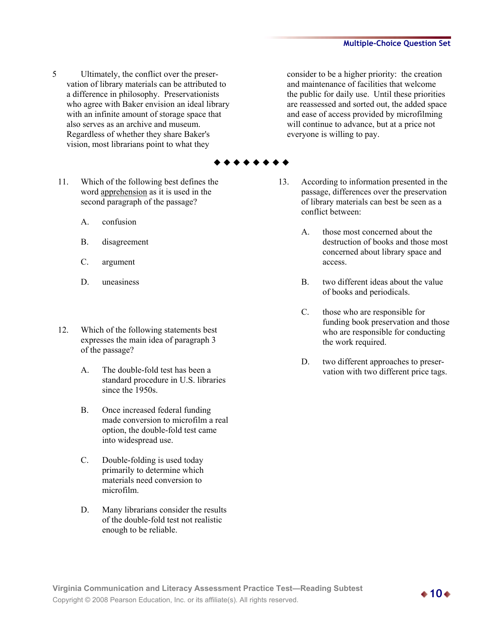- 5 Ultimately, the conflict over the preservation of library materials can be attributed to a difference in philosophy. Preservationists who agree with Baker envision an ideal library with an infinite amount of storage space that also serves as an archive and museum. Regardless of whether they share Baker's vision, most librarians point to what they
	- 11. Which of the following best defines the word apprehension as it is used in the second paragraph of the passage?
		- A. confusion
		- B. disagreement
		- C. argument
		- D. uneasiness
	- 12. Which of the following statements best expresses the main idea of paragraph 3 of the passage?
		- A. The double-fold test has been a standard procedure in U.S. libraries since the 1950s.
		- B. Once increased federal funding made conversion to microfilm a real option, the double-fold test came into widespread use.
		- C. Double-folding is used today primarily to determine which materials need conversion to microfilm.
		- D. Many librarians consider the results of the double-fold test not realistic enough to be reliable.

consider to be a higher priority: the creation and maintenance of facilities that welcome the public for daily use. Until these priorities are reassessed and sorted out, the added space and ease of access provided by microfilming will continue to advance, but at a price not everyone is willing to pay.

- 13. According to information presented in the passage, differences over the preservation of library materials can best be seen as a conflict between:
	- A. those most concerned about the destruction of books and those most concerned about library space and access.
	- B. two different ideas about the value of books and periodicals.
	- C. those who are responsible for funding book preservation and those who are responsible for conducting the work required.
	- D. two different approaches to preservation with two different price tags.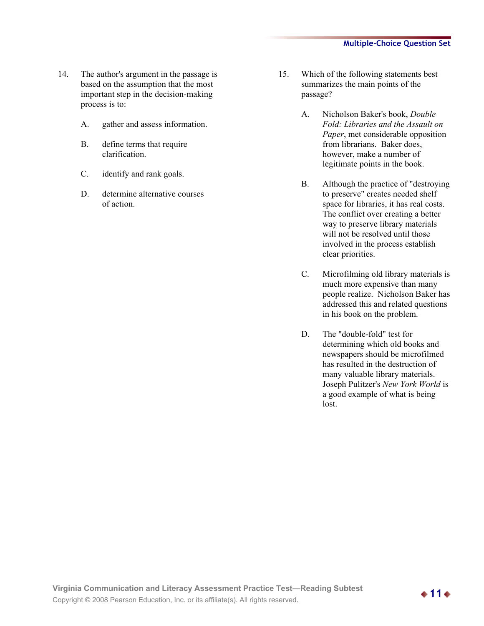- 14. The author's argument in the passage is based on the assumption that the most important step in the decision-making process is to:
	- A. gather and assess information.
	- B. define terms that require clarification.
	- C. identify and rank goals.
	- D. determine alternative courses of action.
- 15. Which of the following statements best summarizes the main points of the passage?
	- A. Nicholson Baker's book, *Double Fold: Libraries and the Assault on Paper*, met considerable opposition from librarians. Baker does, however, make a number of legitimate points in the book.
	- B. Although the practice of "destroying to preserve" creates needed shelf space for libraries, it has real costs. The conflict over creating a better way to preserve library materials will not be resolved until those involved in the process establish clear priorities.
	- C. Microfilming old library materials is much more expensive than many people realize. Nicholson Baker has addressed this and related questions in his book on the problem.
	- D. The "double-fold" test for determining which old books and newspapers should be microfilmed has resulted in the destruction of many valuable library materials. Joseph Pulitzer's *New York World* is a good example of what is being lost.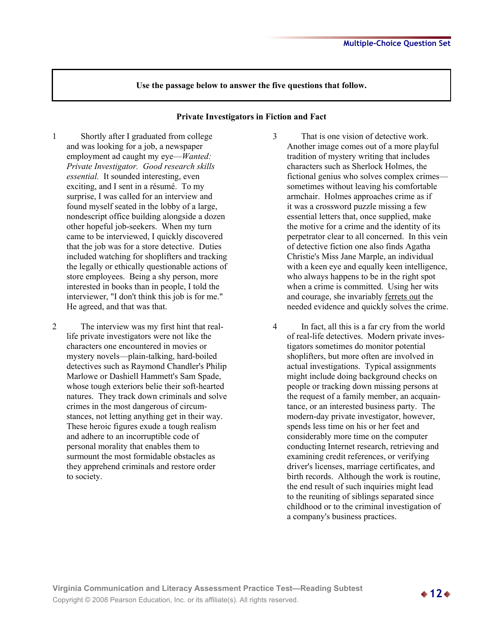#### **Private Investigators in Fiction and Fact**

- 1 Shortly after I graduated from college and was looking for a job, a newspaper employment ad caught my eye—*Wanted: Private Investigator. Good research skills essential.* It sounded interesting, even exciting, and I sent in a résumé. To my surprise, I was called for an interview and found myself seated in the lobby of a large, nondescript office building alongside a dozen other hopeful job-seekers. When my turn came to be interviewed, I quickly discovered that the job was for a store detective. Duties included watching for shoplifters and tracking the legally or ethically questionable actions of store employees. Being a shy person, more interested in books than in people, I told the interviewer, "I don't think this job is for me." He agreed, and that was that.
- 2 The interview was my first hint that reallife private investigators were not like the characters one encountered in movies or mystery novels—plain-talking, hard-boiled detectives such as Raymond Chandler's Philip Marlowe or Dashiell Hammett's Sam Spade, whose tough exteriors belie their soft-hearted natures. They track down criminals and solve crimes in the most dangerous of circumstances, not letting anything get in their way. These heroic figures exude a tough realism and adhere to an incorruptible code of personal morality that enables them to surmount the most formidable obstacles as they apprehend criminals and restore order to society.
- 3 That is one vision of detective work. Another image comes out of a more playful tradition of mystery writing that includes characters such as Sherlock Holmes, the fictional genius who solves complex crimes sometimes without leaving his comfortable armchair. Holmes approaches crime as if it was a crossword puzzle missing a few essential letters that, once supplied, make the motive for a crime and the identity of its perpetrator clear to all concerned. In this vein of detective fiction one also finds Agatha Christie's Miss Jane Marple, an individual with a keen eye and equally keen intelligence, who always happens to be in the right spot when a crime is committed. Using her wits and courage, she invariably ferrets out the needed evidence and quickly solves the crime.
- 4 In fact, all this is a far cry from the world of real-life detectives. Modern private investigators sometimes do monitor potential shoplifters, but more often are involved in actual investigations. Typical assignments might include doing background checks on people or tracking down missing persons at the request of a family member, an acquaintance, or an interested business party. The modern-day private investigator, however, spends less time on his or her feet and considerably more time on the computer conducting Internet research, retrieving and examining credit references, or verifying driver's licenses, marriage certificates, and birth records. Although the work is routine, the end result of such inquiries might lead to the reuniting of siblings separated since childhood or to the criminal investigation of a company's business practices.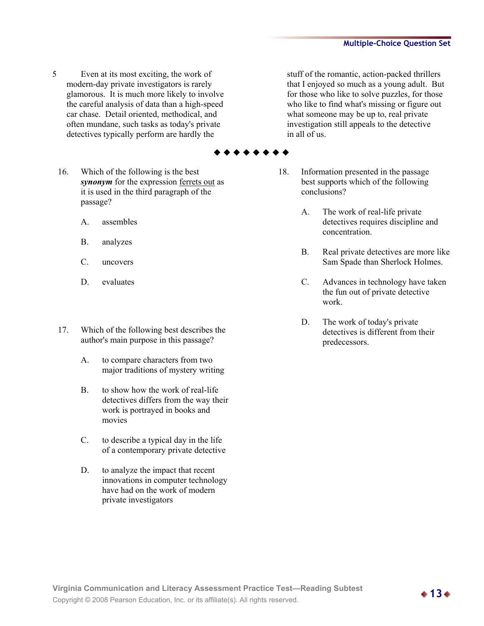5 Even at its most exciting, the work of modern-day private investigators is rarely glamorous. It is much more likely to involve the careful analysis of data than a high-speed car chase. Detail oriented, methodical, and often mundane, such tasks as today's private detectives typically perform are hardly the

stuff of the romantic, action-packed thrillers that I enjoyed so much as a young adult. But for those who like to solve puzzles, for those who like to find what's missing or figure out what someone may be up to, real private investigation still appeals to the detective in all of us.

- 18. Information presented in the passage best supports which of the following conclusions?
	- A. The work of real-life private detectives requires discipline and concentration.
	- B. Real private detectives are more like Sam Spade than Sherlock Holmes.
	- C. Advances in technology have taken the fun out of private detective work.
	- D. The work of today's private detectives is different from their predecessors.
- 16. Which of the following is the best
	- *synonym* for the expression <u>ferrets out</u> as it is used in the third paragraph of the passage?
		- A. assembles
		- B. analyzes
		- C. uncovers
		- D. evaluates
- 17. Which of the following best describes the author's main purpose in this passage?
	- A. to compare characters from two major traditions of mystery writing
	- B. to show how the work of real-life detectives differs from the way their work is portrayed in books and movies
	- C. to describe a typical day in the life of a contemporary private detective
	- D. to analyze the impact that recent innovations in computer technology have had on the work of modern private investigators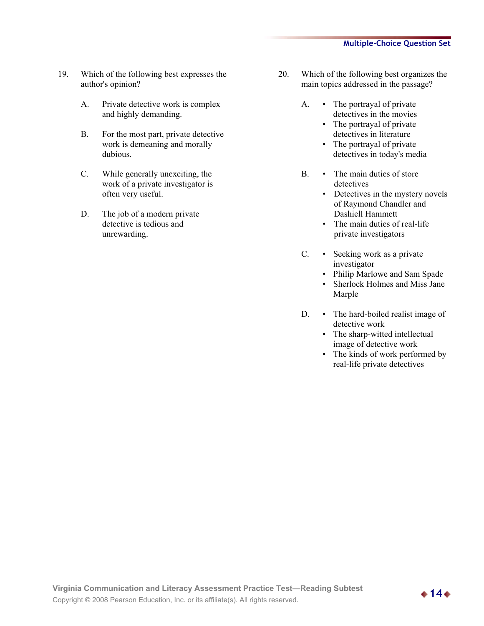- 19. Which of the following best expresses the author's opinion?
	- A. Private detective work is complex and highly demanding.
	- B. For the most part, private detective work is demeaning and morally dubious.
	- C. While generally unexciting, the work of a private investigator is often very useful.
	- D. The job of a modern private detective is tedious and unrewarding.
- 20. Which of the following best organizes the main topics addressed in the passage?
	- A. The portrayal of private detectives in the movies
		- The portrayal of private detectives in literature
		- The portrayal of private detectives in today's media
	- B. The main duties of store detectives
		- Detectives in the mystery novels of Raymond Chandler and Dashiell Hammett
		- The main duties of real-life private investigators
	- C. Seeking work as a private investigator
		- Philip Marlowe and Sam Spade
		- Sherlock Holmes and Miss Jane Marple
	- D. The hard-boiled realist image of detective work
		- The sharp-witted intellectual image of detective work
		- The kinds of work performed by real-life private detectives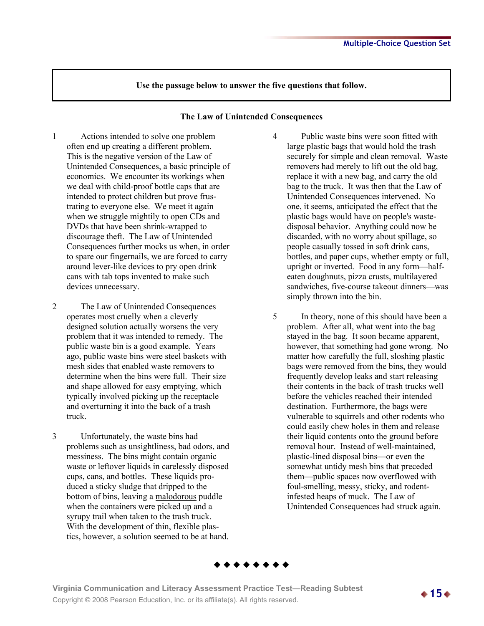#### **The Law of Unintended Consequences**

- 1 Actions intended to solve one problem often end up creating a different problem. This is the negative version of the Law of Unintended Consequences, a basic principle of economics. We encounter its workings when we deal with child-proof bottle caps that are intended to protect children but prove frustrating to everyone else. We meet it again when we struggle mightily to open CDs and DVDs that have been shrink-wrapped to discourage theft. The Law of Unintended Consequences further mocks us when, in order to spare our fingernails, we are forced to carry around lever-like devices to pry open drink cans with tab tops invented to make such devices unnecessary.
- 2 The Law of Unintended Consequences operates most cruelly when a cleverly designed solution actually worsens the very problem that it was intended to remedy. The public waste bin is a good example. Years ago, public waste bins were steel baskets with mesh sides that enabled waste removers to determine when the bins were full. Their size and shape allowed for easy emptying, which typically involved picking up the receptacle and overturning it into the back of a trash truck.
- 3 Unfortunately, the waste bins had problems such as unsightliness, bad odors, and messiness. The bins might contain organic waste or leftover liquids in carelessly disposed cups, cans, and bottles. These liquids produced a sticky sludge that dripped to the bottom of bins, leaving a malodorous puddle when the containers were picked up and a syrupy trail when taken to the trash truck. With the development of thin, flexible plastics, however, a solution seemed to be at hand.
- 4 Public waste bins were soon fitted with large plastic bags that would hold the trash securely for simple and clean removal. Waste removers had merely to lift out the old bag, replace it with a new bag, and carry the old bag to the truck. It was then that the Law of Unintended Consequences intervened. No one, it seems, anticipated the effect that the plastic bags would have on people's wastedisposal behavior. Anything could now be discarded, with no worry about spillage, so people casually tossed in soft drink cans, bottles, and paper cups, whether empty or full, upright or inverted. Food in any form—halfeaten doughnuts, pizza crusts, multilayered sandwiches, five-course takeout dinners—was simply thrown into the bin.
- 5 In theory, none of this should have been a problem. After all, what went into the bag stayed in the bag. It soon became apparent, however, that something had gone wrong. No matter how carefully the full, sloshing plastic bags were removed from the bins, they would frequently develop leaks and start releasing their contents in the back of trash trucks well before the vehicles reached their intended destination. Furthermore, the bags were vulnerable to squirrels and other rodents who could easily chew holes in them and release their liquid contents onto the ground before removal hour. Instead of well-maintained, plastic-lined disposal bins—or even the somewhat untidy mesh bins that preceded them—public spaces now overflowed with foul-smelling, messy, sticky, and rodentinfested heaps of muck. The Law of Unintended Consequences had struck again.



**Virginia Communication and Literacy Assessment Practice Test—Reading Subtest Copyright © 2008 Pearson Education, Inc. or its affiliate(s). All rights reserved. 15** → **15** → **15** → **15** → **15** → **15** → **15** → **15** → **15** → **15** → **15** → **15** → **15** → **15** → **15** → **15** → **15** → **15** → **15** → **15**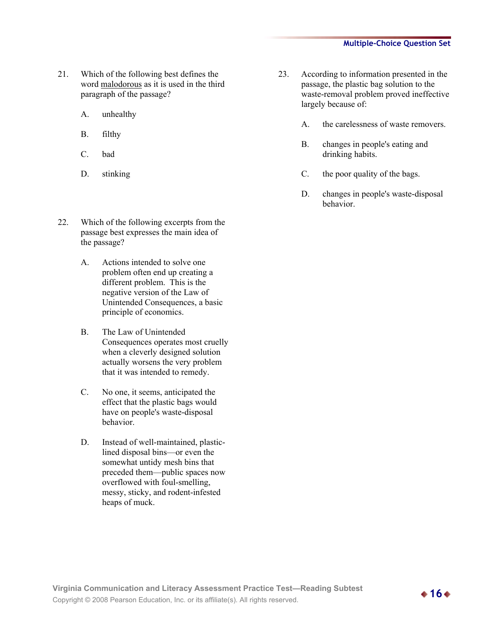- 21. Which of the following best defines the word malodorous as it is used in the third paragraph of the passage?
	- A. unhealthy
	- B. filthy
	- C. bad
	- D. stinking
- 22. Which of the following excerpts from the passage best expresses the main idea of the passage?
	- A. Actions intended to solve one problem often end up creating a different problem. This is the negative version of the Law of Unintended Consequences, a basic principle of economics.
	- B. The Law of Unintended Consequences operates most cruelly when a cleverly designed solution actually worsens the very problem that it was intended to remedy.
	- C. No one, it seems, anticipated the effect that the plastic bags would have on people's waste-disposal behavior.
	- D. Instead of well-maintained, plasticlined disposal bins—or even the somewhat untidy mesh bins that preceded them—public spaces now overflowed with foul-smelling, messy, sticky, and rodent-infested heaps of muck.
- 23. According to information presented in the passage, the plastic bag solution to the waste-removal problem proved ineffective largely because of:
	- A. the carelessness of waste removers.
	- B. changes in people's eating and drinking habits.
	- C. the poor quality of the bags.
	- D. changes in people's waste-disposal behavior.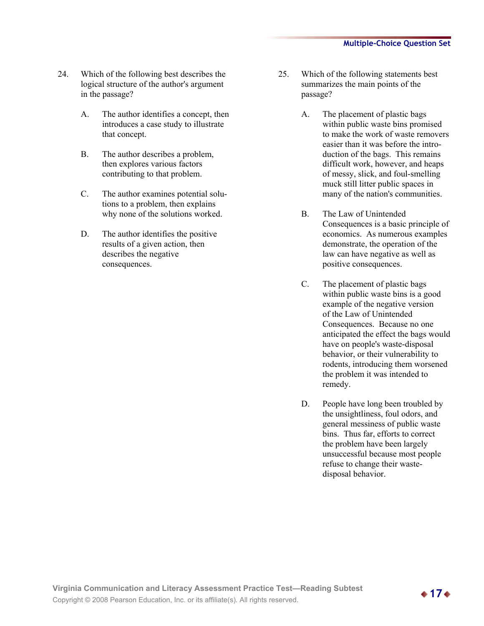- 24. Which of the following best describes the logical structure of the author's argument in the passage?
	- A. The author identifies a concept, then introduces a case study to illustrate that concept.
	- B. The author describes a problem, then explores various factors contributing to that problem.
	- C. The author examines potential solutions to a problem, then explains why none of the solutions worked.
	- D. The author identifies the positive results of a given action, then describes the negative consequences.
- 25. Which of the following statements best summarizes the main points of the passage?
	- A. The placement of plastic bags within public waste bins promised to make the work of waste removers easier than it was before the introduction of the bags. This remains difficult work, however, and heaps of messy, slick, and foul-smelling muck still litter public spaces in many of the nation's communities.
	- B. The Law of Unintended Consequences is a basic principle of economics. As numerous examples demonstrate, the operation of the law can have negative as well as positive consequences.
	- C. The placement of plastic bags within public waste bins is a good example of the negative version of the Law of Unintended Consequences. Because no one anticipated the effect the bags would have on people's waste-disposal behavior, or their vulnerability to rodents, introducing them worsened the problem it was intended to remedy.
	- D. People have long been troubled by the unsightliness, foul odors, and general messiness of public waste bins. Thus far, efforts to correct the problem have been largely unsuccessful because most people refuse to change their wastedisposal behavior.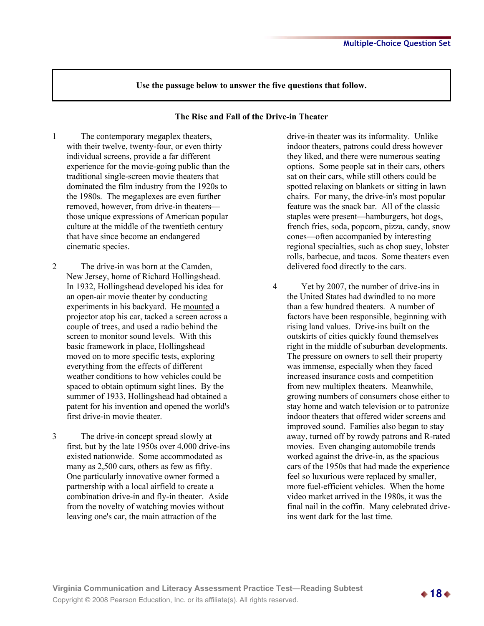#### **The Rise and Fall of the Drive-in Theater**

- 1 The contemporary megaplex theaters, with their twelve, twenty-four, or even thirty individual screens, provide a far different experience for the movie-going public than the traditional single-screen movie theaters that dominated the film industry from the 1920s to the 1980s. The megaplexes are even further removed, however, from drive-in theaters those unique expressions of American popular culture at the middle of the twentieth century that have since become an endangered cinematic species.
- 2 The drive-in was born at the Camden, New Jersey, home of Richard Hollingshead. In 1932, Hollingshead developed his idea for an open-air movie theater by conducting experiments in his backyard. He mounted a projector atop his car, tacked a screen across a couple of trees, and used a radio behind the screen to monitor sound levels. With this basic framework in place, Hollingshead moved on to more specific tests, exploring everything from the effects of different weather conditions to how vehicles could be spaced to obtain optimum sight lines. By the summer of 1933, Hollingshead had obtained a patent for his invention and opened the world's first drive-in movie theater.
- 3 The drive-in concept spread slowly at first, but by the late 1950s over 4,000 drive-ins existed nationwide. Some accommodated as many as 2,500 cars, others as few as fifty. One particularly innovative owner formed a partnership with a local airfield to create a combination drive-in and fly-in theater. Aside from the novelty of watching movies without leaving one's car, the main attraction of the

drive-in theater was its informality. Unlike indoor theaters, patrons could dress however they liked, and there were numerous seating options. Some people sat in their cars, others sat on their cars, while still others could be spotted relaxing on blankets or sitting in lawn chairs. For many, the drive-in's most popular feature was the snack bar. All of the classic staples were present—hamburgers, hot dogs, french fries, soda, popcorn, pizza, candy, snow cones—often accompanied by interesting regional specialties, such as chop suey, lobster rolls, barbecue, and tacos. Some theaters even delivered food directly to the cars.

4 Yet by 2007, the number of drive-ins in the United States had dwindled to no more than a few hundred theaters. A number of factors have been responsible, beginning with rising land values. Drive-ins built on the outskirts of cities quickly found themselves right in the middle of suburban developments. The pressure on owners to sell their property was immense, especially when they faced increased insurance costs and competition from new multiplex theaters. Meanwhile, growing numbers of consumers chose either to stay home and watch television or to patronize indoor theaters that offered wider screens and improved sound. Families also began to stay away, turned off by rowdy patrons and R-rated movies. Even changing automobile trends worked against the drive-in, as the spacious cars of the 1950s that had made the experience feel so luxurious were replaced by smaller, more fuel-efficient vehicles. When the home video market arrived in the 1980s, it was the final nail in the coffin. Many celebrated driveins went dark for the last time.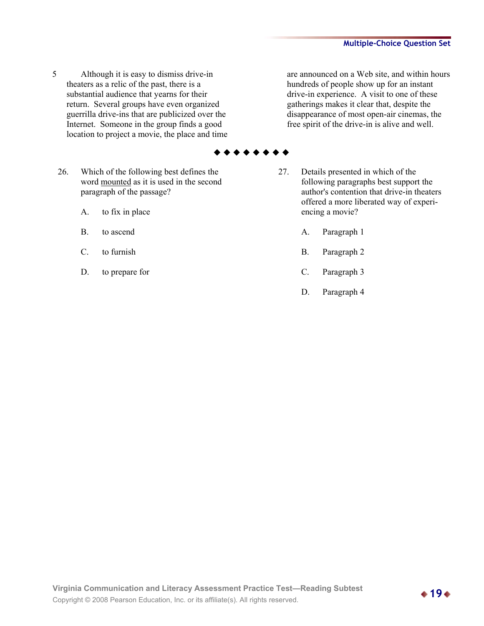5 Although it is easy to dismiss drive-in theaters as a relic of the past, there is a substantial audience that yearns for their return. Several groups have even organized guerrilla drive-ins that are publicized over the Internet. Someone in the group finds a good location to project a movie, the place and time

are announced on a Web site, and within hours hundreds of people show up for an instant drive-in experience. A visit to one of these gatherings makes it clear that, despite the disappearance of most open-air cinemas, the free spirit of the drive-in is alive and well.

- 26. Which of the following best defines the word mounted as it is used in the second paragraph of the passage?
	- A. to fix in place
	- B. to ascend
	- C. to furnish
	- D. to prepare for
- 27. Details presented in which of the following paragraphs best support the author's contention that drive-in theaters offered a more liberated way of experiencing a movie?
	- A. Paragraph 1
	- B. Paragraph 2
	- C. Paragraph 3
	- D. Paragraph 4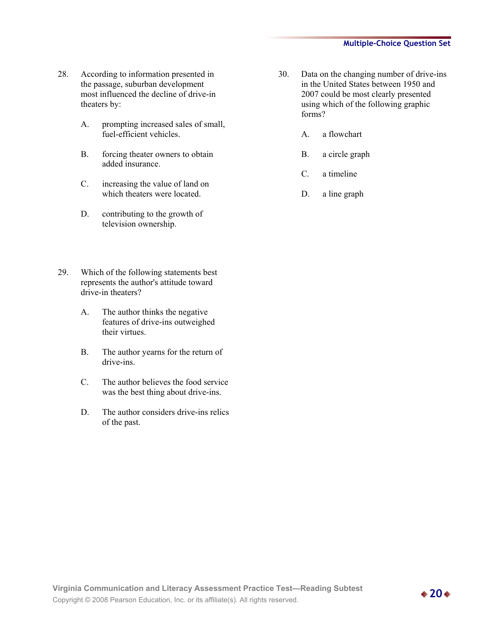- 28. According to information presented in the passage, suburban development most influenced the decline of drive-in theaters by:
	- A. prompting increased sales of small, fuel-efficient vehicles.
	- B. forcing theater owners to obtain added insurance.
	- C. increasing the value of land on which theaters were located.
	- D. contributing to the growth of television ownership.
- 29. Which of the following statements best represents the author's attitude toward drive-in theaters?
	- A. The author thinks the negative features of drive-ins outweighed their virtues.
	- B. The author yearns for the return of drive-ins.
	- C. The author believes the food service was the best thing about drive-ins.
	- D. The author considers drive-ins relics of the past.
- 30. Data on the changing number of drive-ins in the United States between 1950 and 2007 could be most clearly presented using which of the following graphic forms?
	- A. a flowchart
	- B. a circle graph
	- C. a timeline
	- D. a line graph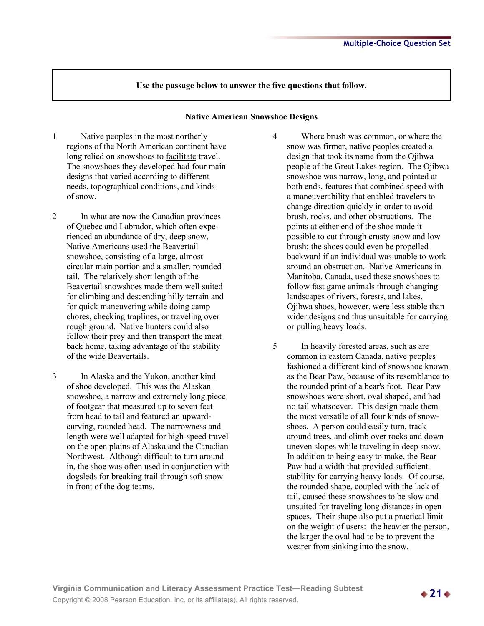#### **Native American Snowshoe Designs**

- 1 Native peoples in the most northerly regions of the North American continent have long relied on snowshoes to facilitate travel. The snowshoes they developed had four main designs that varied according to different needs, topographical conditions, and kinds of snow.
- 2 In what are now the Canadian provinces of Quebec and Labrador, which often experienced an abundance of dry, deep snow, Native Americans used the Beavertail snowshoe, consisting of a large, almost circular main portion and a smaller, rounded tail. The relatively short length of the Beavertail snowshoes made them well suited for climbing and descending hilly terrain and for quick maneuvering while doing camp chores, checking traplines, or traveling over rough ground. Native hunters could also follow their prey and then transport the meat back home, taking advantage of the stability of the wide Beavertails.
- 3 In Alaska and the Yukon, another kind of shoe developed. This was the Alaskan snowshoe, a narrow and extremely long piece of footgear that measured up to seven feet from head to tail and featured an upwardcurving, rounded head. The narrowness and length were well adapted for high-speed travel on the open plains of Alaska and the Canadian Northwest. Although difficult to turn around in, the shoe was often used in conjunction with dogsleds for breaking trail through soft snow in front of the dog teams.
- 4 Where brush was common, or where the snow was firmer, native peoples created a design that took its name from the Ojibwa people of the Great Lakes region. The Ojibwa snowshoe was narrow, long, and pointed at both ends, features that combined speed with a maneuverability that enabled travelers to change direction quickly in order to avoid brush, rocks, and other obstructions. The points at either end of the shoe made it possible to cut through crusty snow and low brush; the shoes could even be propelled backward if an individual was unable to work around an obstruction. Native Americans in Manitoba, Canada, used these snowshoes to follow fast game animals through changing landscapes of rivers, forests, and lakes. Ojibwa shoes, however, were less stable than wider designs and thus unsuitable for carrying or pulling heavy loads.
- 5 In heavily forested areas, such as are common in eastern Canada, native peoples fashioned a different kind of snowshoe known as the Bear Paw, because of its resemblance to the rounded print of a bear's foot. Bear Paw snowshoes were short, oval shaped, and had no tail whatsoever. This design made them the most versatile of all four kinds of snowshoes. A person could easily turn, track around trees, and climb over rocks and down uneven slopes while traveling in deep snow. In addition to being easy to make, the Bear Paw had a width that provided sufficient stability for carrying heavy loads. Of course, the rounded shape, coupled with the lack of tail, caused these snowshoes to be slow and unsuited for traveling long distances in open spaces. Their shape also put a practical limit on the weight of users: the heavier the person, the larger the oval had to be to prevent the wearer from sinking into the snow.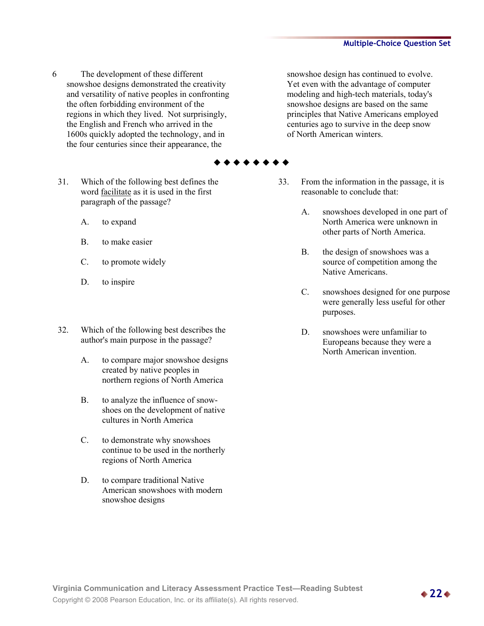- 6 The development of these different snowshoe designs demonstrated the creativity and versatility of native peoples in confronting the often forbidding environment of the regions in which they lived. Not surprisingly, the English and French who arrived in the 1600s quickly adopted the technology, and in the four centuries since their appearance, the
	- 31. Which of the following best defines the word facilitate as it is used in the first paragraph of the passage?
		- A. to expand
		- B. to make easier
		- C. to promote widely
		- D. to inspire
	- 32. Which of the following best describes the author's main purpose in the passage?
		- A. to compare major snowshoe designs created by native peoples in northern regions of North America
		- B. to analyze the influence of snowshoes on the development of native cultures in North America
		- C. to demonstrate why snowshoes continue to be used in the northerly regions of North America
		- D. to compare traditional Native American snowshoes with modern snowshoe designs

snowshoe design has continued to evolve. Yet even with the advantage of computer modeling and high-tech materials, today's snowshoe designs are based on the same principles that Native Americans employed centuries ago to survive in the deep snow of North American winters.

- 33. From the information in the passage, it is reasonable to conclude that:
	- A. snowshoes developed in one part of North America were unknown in other parts of North America.
	- B. the design of snowshoes was a source of competition among the Native Americans.
	- C. snowshoes designed for one purpose were generally less useful for other purposes.
	- D. snowshoes were unfamiliar to Europeans because they were a North American invention.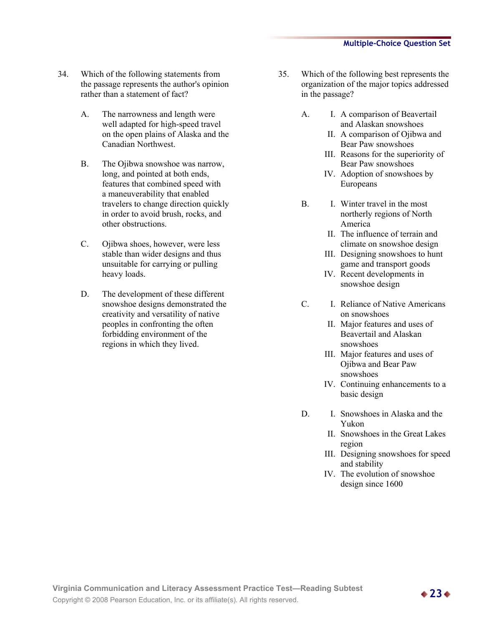- 34. Which of the following statements from the passage represents the author's opinion rather than a statement of fact?
	- A. The narrowness and length were well adapted for high-speed travel on the open plains of Alaska and the Canadian Northwest.
	- B. The Ojibwa snowshoe was narrow, long, and pointed at both ends, features that combined speed with a maneuverability that enabled travelers to change direction quickly in order to avoid brush, rocks, and other obstructions.
	- C. Ojibwa shoes, however, were less stable than wider designs and thus unsuitable for carrying or pulling heavy loads.
	- D. The development of these different snowshoe designs demonstrated the creativity and versatility of native peoples in confronting the often forbidding environment of the regions in which they lived.
- 35. Which of the following best represents the organization of the major topics addressed in the passage?
	- A. I. A comparison of Beavertail and Alaskan snowshoes
		- II. A comparison of Ojibwa and Bear Paw snowshoes
		- III. Reasons for the superiority of Bear Paw snowshoes
		- IV. Adoption of snowshoes by Europeans
	- B. I. Winter travel in the most northerly regions of North America
		- II. The influence of terrain and climate on snowshoe design
		- III. Designing snowshoes to hunt game and transport goods
		- IV. Recent developments in snowshoe design
	- C. I. Reliance of Native Americans on snowshoes
		- II. Major features and uses of Beavertail and Alaskan snowshoes
		- III. Major features and uses of Ojibwa and Bear Paw snowshoes
		- IV. Continuing enhancements to a basic design
	- D. I. Snowshoes in Alaska and the Yukon
		- II. Snowshoes in the Great Lakes region
		- III. Designing snowshoes for speed and stability
		- IV. The evolution of snowshoe design since 1600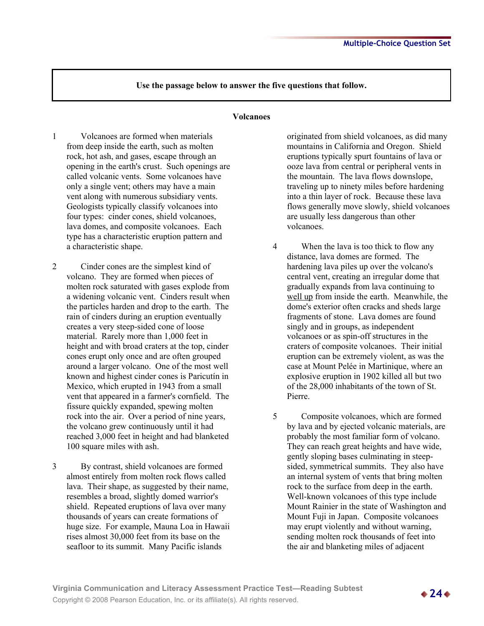#### **Volcanoes**

- 1 Volcanoes are formed when materials from deep inside the earth, such as molten rock, hot ash, and gases, escape through an opening in the earth's crust. Such openings are called volcanic vents. Some volcanoes have only a single vent; others may have a main vent along with numerous subsidiary vents. Geologists typically classify volcanoes into four types: cinder cones, shield volcanoes, lava domes, and composite volcanoes. Each type has a characteristic eruption pattern and a characteristic shape.
- 2 Cinder cones are the simplest kind of volcano. They are formed when pieces of molten rock saturated with gases explode from a widening volcanic vent. Cinders result when the particles harden and drop to the earth. The rain of cinders during an eruption eventually creates a very steep-sided cone of loose material. Rarely more than 1,000 feet in height and with broad craters at the top, cinder cones erupt only once and are often grouped around a larger volcano. One of the most well known and highest cinder cones is Paricutín in Mexico, which erupted in 1943 from a small vent that appeared in a farmer's cornfield. The fissure quickly expanded, spewing molten rock into the air. Over a period of nine years, the volcano grew continuously until it had reached 3,000 feet in height and had blanketed 100 square miles with ash.
- 3 By contrast, shield volcanoes are formed almost entirely from molten rock flows called lava. Their shape, as suggested by their name, resembles a broad, slightly domed warrior's shield. Repeated eruptions of lava over many thousands of years can create formations of huge size. For example, Mauna Loa in Hawaii rises almost 30,000 feet from its base on the seafloor to its summit. Many Pacific islands

originated from shield volcanoes, as did many mountains in California and Oregon. Shield eruptions typically spurt fountains of lava or ooze lava from central or peripheral vents in the mountain. The lava flows downslope, traveling up to ninety miles before hardening into a thin layer of rock. Because these lava flows generally move slowly, shield volcanoes are usually less dangerous than other volcanoes.

- 4 When the lava is too thick to flow any distance, lava domes are formed. The hardening lava piles up over the volcano's central vent, creating an irregular dome that gradually expands from lava continuing to well up from inside the earth. Meanwhile, the dome's exterior often cracks and sheds large fragments of stone. Lava domes are found singly and in groups, as independent volcanoes or as spin-off structures in the craters of composite volcanoes. Their initial eruption can be extremely violent, as was the case at Mount Pelée in Martinique, where an explosive eruption in 1902 killed all but two of the 28,000 inhabitants of the town of St. Pierre.
- 5 Composite volcanoes, which are formed by lava and by ejected volcanic materials, are probably the most familiar form of volcano. They can reach great heights and have wide, gently sloping bases culminating in steepsided, symmetrical summits. They also have an internal system of vents that bring molten rock to the surface from deep in the earth. Well-known volcanoes of this type include Mount Rainier in the state of Washington and Mount Fuji in Japan. Composite volcanoes may erupt violently and without warning, sending molten rock thousands of feet into the air and blanketing miles of adjacent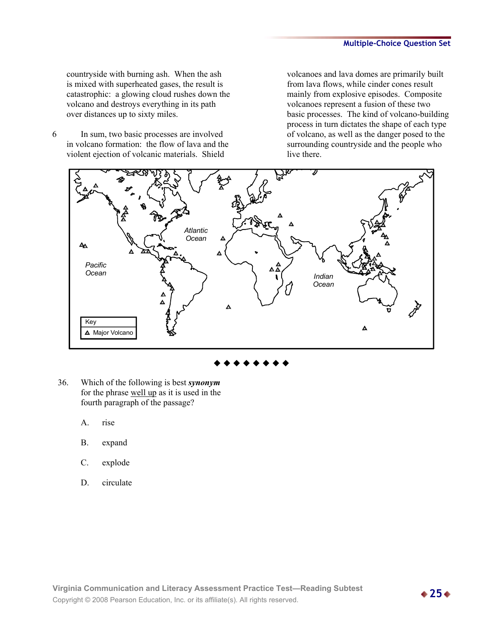countryside with burning ash. When the ash is mixed with superheated gases, the result is catastrophic: a glowing cloud rushes down the volcano and destroys everything in its path over distances up to sixty miles.

6 In sum, two basic processes are involved in volcano formation: the flow of lava and the violent ejection of volcanic materials. Shield

volcanoes and lava domes are primarily built from lava flows, while cinder cones result mainly from explosive episodes. Composite volcanoes represent a fusion of these two basic processes. The kind of volcano-building process in turn dictates the shape of each type of volcano, as well as the danger posed to the surrounding countryside and the people who live there.



- 36. Which of the following is best *synonym* for the phrase well up as it is used in the fourth paragraph of the passage?
	- A. rise
	- B. expand
	- C. explode
	- D. circulate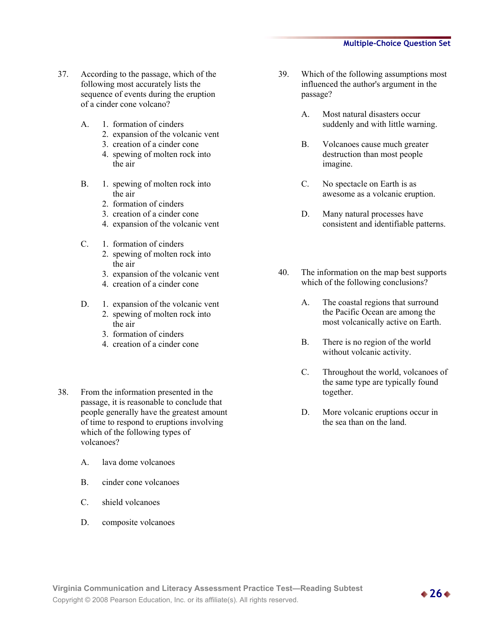- 37. According to the passage, which of the following most accurately lists the sequence of events during the eruption of a cinder cone volcano?
	- A. 1. formation of cinders
		- 2. expansion of the volcanic vent
		- 3. creation of a cinder cone
		- 4. spewing of molten rock into the air
	- B. 1. spewing of molten rock into the air
		- 2. formation of cinders
		- 3. creation of a cinder cone
		- 4. expansion of the volcanic vent
	- C. 1. formation of cinders
		- 2. spewing of molten rock into the air
		- 3. expansion of the volcanic vent
		- 4. creation of a cinder cone
	- D. 1. expansion of the volcanic vent
		- 2. spewing of molten rock into the air
		- 3. formation of cinders
		- 4. creation of a cinder cone
- 38. From the information presented in the passage, it is reasonable to conclude that people generally have the greatest amount of time to respond to eruptions involving which of the following types of volcanoes?
	- A. lava dome volcanoes
	- B. cinder cone volcanoes
	- C. shield volcanoes
	- D. composite volcanoes
- 39. Which of the following assumptions most influenced the author's argument in the passage?
	- A. Most natural disasters occur suddenly and with little warning.
	- B. Volcanoes cause much greater destruction than most people imagine.
	- C. No spectacle on Earth is as awesome as a volcanic eruption.
	- D. Many natural processes have consistent and identifiable patterns.
- 40. The information on the map best supports which of the following conclusions?
	- A. The coastal regions that surround the Pacific Ocean are among the most volcanically active on Earth.
	- B. There is no region of the world without volcanic activity.
	- C. Throughout the world, volcanoes of the same type are typically found together.
	- D. More volcanic eruptions occur in the sea than on the land.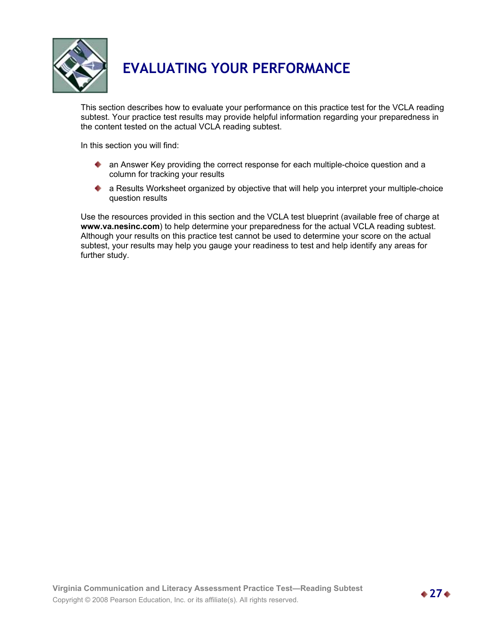

# **EVALUATING YOUR PERFORMANCE**

This section describes how to evaluate your performance on this practice test for the VCLA reading subtest. Your practice test results may provide helpful information regarding your preparedness in the content tested on the actual VCLA reading subtest.

In this section you will find:

- **A** an Answer Key providing the correct response for each multiple-choice question and a column for tracking your results
- a Results Worksheet organized by objective that will help you interpret your multiple-choice question results

Use the resources provided in this section and the VCLA test blueprint (available free of charge at **www.va.nesinc.com**) to help determine your preparedness for the actual VCLA reading subtest. Although your results on this practice test cannot be used to determine your score on the actual subtest, your results may help you gauge your readiness to test and help identify any areas for further study.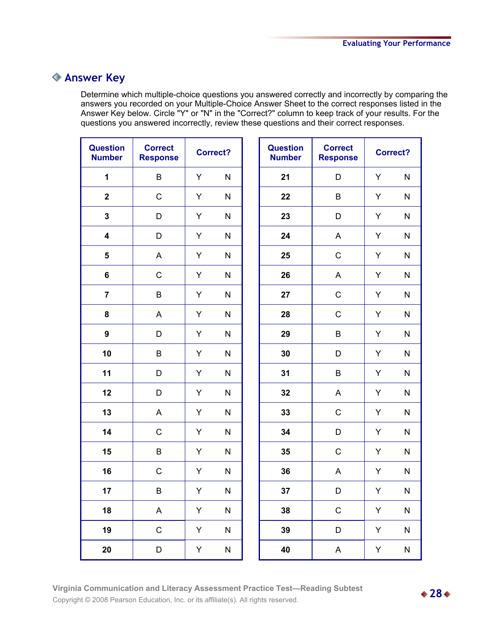## **Answer Key**

Determine which multiple-choice questions you answered correctly and incorrectly by comparing the answers you recorded on your Multiple-Choice Answer Sheet to the correct responses listed in the Answer Key below. Circle "Y" or "N" in the "Correct?" column to keep track of your results. For the questions you answered incorrectly, review these questions and their correct responses.

| <b>Question</b><br><b>Number</b> | <b>Correct</b><br><b>Response</b> | <b>Correct?</b> |              | <b>Question</b><br><b>Number</b> | <b>Correct</b><br><b>Response</b> |    | <b>Correct?</b> |
|----------------------------------|-----------------------------------|-----------------|--------------|----------------------------------|-----------------------------------|----|-----------------|
| $\mathbf 1$                      | B                                 | Υ               | N            | 21                               | D                                 | Y  | N               |
| $\mathbf{2}$                     | $\mathsf C$                       | Y               | $\mathsf{N}$ | 22                               | B                                 | Y  | N               |
| $\mathbf{3}$                     | D                                 | Y               | ${\sf N}$    | 23                               | D                                 | Y  | ${\sf N}$       |
| $\overline{\mathbf{4}}$          | D                                 | Y               | N            | 24                               | A                                 | Y  | $\mathsf{N}$    |
| 5                                | A                                 | Y               | N            | 25                               | $\mathsf C$                       | Y  | ${\sf N}$       |
| $6\phantom{a}$                   | $\mathsf C$                       | Y               | ${\sf N}$    | 26                               | A                                 | Y  | ${\sf N}$       |
| $\overline{7}$                   | $\sf B$                           | Y               | N            | 27                               | $\mathsf C$                       | Y  | ${\sf N}$       |
| 8                                | A                                 | Υ               | N            | 28                               | $\mathsf C$                       | Υ  | ${\sf N}$       |
| $\boldsymbol{9}$                 | D                                 | Υ               | N            | 29                               | B                                 | Y  | ${\sf N}$       |
| 10                               | $\sf B$                           | Υ               | N            | 30                               | D                                 | Y  | ${\sf N}$       |
| 11                               | D                                 | Υ               | N            | 31                               | $\sf B$                           | Y  | $\mathsf{N}$    |
| 12                               | D                                 | Υ               | ${\sf N}$    | 32                               | $\boldsymbol{\mathsf{A}}$         | Y  | ${\sf N}$       |
| 13                               | A                                 | Y               | $\mathsf{N}$ | 33                               | $\mathsf C$                       | Y  | ${\sf N}$       |
| 14                               | $\mathsf C$                       | Y               | N            | 34                               | D                                 | Y  | $\mathsf{N}$    |
| 15                               | B                                 | Υ               | N            | 35                               | $\mathsf C$                       | Y  | N               |
| 16                               | $\mathsf C$                       | Υ               | N            | 36                               | A                                 | Υ  | $\mathsf{N}$    |
| 17                               | B                                 | Y.              | N            | 37                               | D                                 | Y. | N               |
| 18                               | $\mathsf{A}$                      | Y               | ${\sf N}$    | 38                               | $\mathsf C$                       | Y  | ${\sf N}$       |
| 19                               | $\mathsf C$                       | Y               | ${\sf N}$    | 39                               | $\mathsf D$                       | Y  | ${\sf N}$       |
| 20                               | $\mathsf D$                       | Y               | ${\sf N}$    | 40                               | $\mathsf A$                       | Y  | ${\sf N}$       |